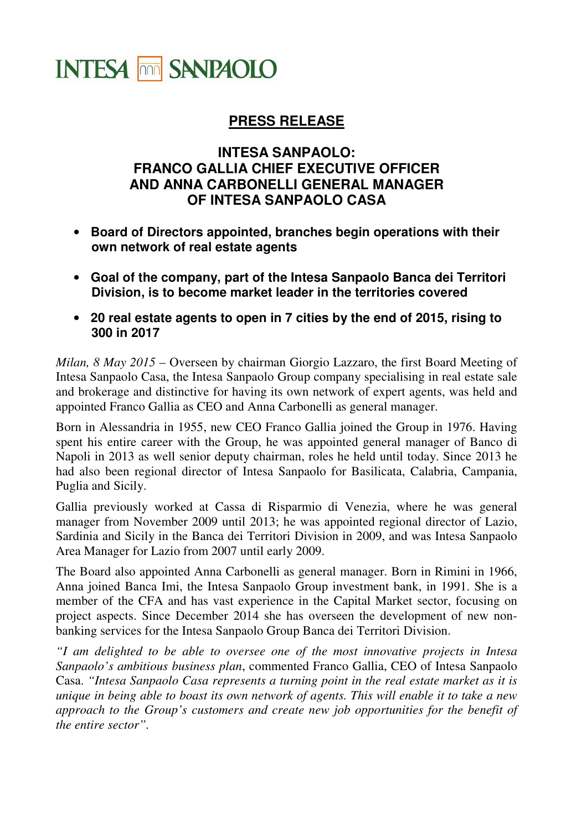

## **PRESS RELEASE**

## **INTESA SANPAOLO: FRANCO GALLIA CHIEF EXECUTIVE OFFICER AND ANNA CARBONELLI GENERAL MANAGER OF INTESA SANPAOLO CASA**

- **Board of Directors appointed, branches begin operations with their own network of real estate agents**
- **Goal of the company, part of the Intesa Sanpaolo Banca dei Territori Division, is to become market leader in the territories covered**
- **20 real estate agents to open in 7 cities by the end of 2015, rising to 300 in 2017**

*Milan, 8 May 2015* – Overseen by chairman Giorgio Lazzaro, the first Board Meeting of Intesa Sanpaolo Casa, the Intesa Sanpaolo Group company specialising in real estate sale and brokerage and distinctive for having its own network of expert agents, was held and appointed Franco Gallia as CEO and Anna Carbonelli as general manager.

Born in Alessandria in 1955, new CEO Franco Gallia joined the Group in 1976. Having spent his entire career with the Group, he was appointed general manager of Banco di Napoli in 2013 as well senior deputy chairman, roles he held until today. Since 2013 he had also been regional director of Intesa Sanpaolo for Basilicata, Calabria, Campania, Puglia and Sicily.

Gallia previously worked at Cassa di Risparmio di Venezia, where he was general manager from November 2009 until 2013; he was appointed regional director of Lazio, Sardinia and Sicily in the Banca dei Territori Division in 2009, and was Intesa Sanpaolo Area Manager for Lazio from 2007 until early 2009.

The Board also appointed Anna Carbonelli as general manager. Born in Rimini in 1966, Anna joined Banca Imi, the Intesa Sanpaolo Group investment bank, in 1991. She is a member of the CFA and has vast experience in the Capital Market sector, focusing on project aspects. Since December 2014 she has overseen the development of new nonbanking services for the Intesa Sanpaolo Group Banca dei Territori Division.

*"I am delighted to be able to oversee one of the most innovative projects in Intesa Sanpaolo's ambitious business plan*, commented Franco Gallia, CEO of Intesa Sanpaolo Casa. *"Intesa Sanpaolo Casa represents a turning point in the real estate market as it is unique in being able to boast its own network of agents. This will enable it to take a new approach to the Group's customers and create new job opportunities for the benefit of the entire sector".*